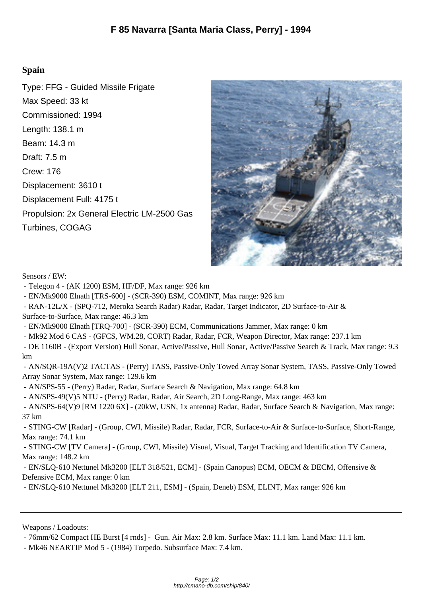## **Spain**

Type: FFG - Guided Missile Frigate Max Speed: 33 kt Commissioned: 1994 Length: 138.1 m Beam: 14.3 m Draft: 7.5 m Crew: 176 Displacement: 3610 t Displacement Full: 4175 t Propulsion: 2x General Electric LM-2500 Gas Turbines, COGAG



Sensors / EW:

- Telegon 4 - (AK 1200) ESM, HF/DF, Max range: 926 km

- EN/Mk9000 Elnath [TRS-600] - (SCR-390) ESM, COMI[NT, Max range: 926 km](http://cmano-db.com/images/DB3000/ship_840.jpg)

- RAN-12L/X - (SPQ-712, Meroka Search Radar) Radar, Radar, Target Indicator, 2D Surface-to-Air &

Surface-to-Surface, Max range: 46.3 km

- EN/Mk9000 Elnath [TRQ-700] - (SCR-390) ECM, Communications Jammer, Max range: 0 km

- Mk92 Mod 6 CAS - (GFCS, WM.28, CORT) Radar, Radar, FCR, Weapon Director, Max range: 237.1 km

 - DE 1160B - (Export Version) Hull Sonar, Active/Passive, Hull Sonar, Active/Passive Search & Track, Max range: 9.3 km

 - AN/SQR-19A(V)2 TACTAS - (Perry) TASS, Passive-Only Towed Array Sonar System, TASS, Passive-Only Towed Array Sonar System, Max range: 129.6 km

- AN/SPS-55 - (Perry) Radar, Radar, Surface Search & Navigation, Max range: 64.8 km

- AN/SPS-49(V)5 NTU - (Perry) Radar, Radar, Air Search, 2D Long-Range, Max range: 463 km

 - AN/SPS-64(V)9 [RM 1220 6X] - (20kW, USN, 1x antenna) Radar, Radar, Surface Search & Navigation, Max range: 37 km

 - STING-CW [Radar] - (Group, CWI, Missile) Radar, Radar, FCR, Surface-to-Air & Surface-to-Surface, Short-Range, Max range: 74.1 km

 - STING-CW [TV Camera] - (Group, CWI, Missile) Visual, Visual, Target Tracking and Identification TV Camera, Max range: 148.2 km

 - EN/SLQ-610 Nettunel Mk3200 [ELT 318/521, ECM] - (Spain Canopus) ECM, OECM & DECM, Offensive & Defensive ECM, Max range: 0 km

- EN/SLQ-610 Nettunel Mk3200 [ELT 211, ESM] - (Spain, Deneb) ESM, ELINT, Max range: 926 km

Weapons / Loadouts:

- 76mm/62 Compact HE Burst [4 rnds] - Gun. Air Max: 2.8 km. Surface Max: 11.1 km. Land Max: 11.1 km.

- Mk46 NEARTIP Mod 5 - (1984) Torpedo. Subsurface Max: 7.4 km.